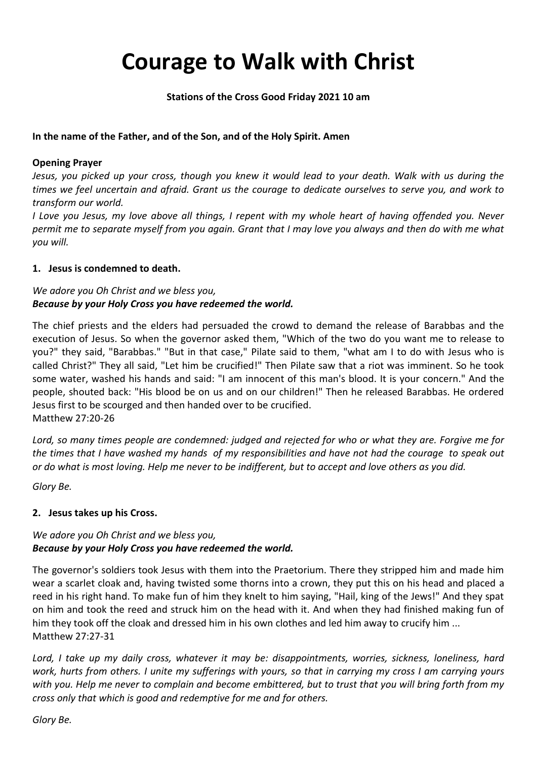# **Courage to Walk with Christ**

#### **Stations of the Cross Good Friday 2021 10 am**

#### **In the name of the Father, and of the Son, and of the Holy Spirit. Amen**

#### **Opening Prayer**

*Jesus, you picked up your cross, though you knew it would lead to your death. Walk with us during the times we feel uncertain and afraid. Grant us the courage to dedicate ourselves to serve you, and work to transform our world.* 

*I Love you Jesus, my love above all things, I repent with my whole heart of having offended you. Never permit me to separate myself from you again. Grant that I may love you always and then do with me what you will.* 

#### **1. Jesus is condemned to death.**

# *We adore you Oh Christ and we bless you, Because by your Holy Cross you have redeemed the world.*

The chief priests and the elders had persuaded the crowd to demand the release of Barabbas and the execution of Jesus. So when the governor asked them, "Which of the two do you want me to release to you?" they said, "Barabbas." "But in that case," Pilate said to them, "what am I to do with Jesus who is called Christ?" They all said, "Let him be crucified!" Then Pilate saw that a riot was imminent. So he took some water, washed his hands and said: "I am innocent of this man's blood. It is your concern." And the people, shouted back: "His blood be on us and on our children!" Then he released Barabbas. He ordered Jesus first to be scourged and then handed over to be crucified. Matthew 27:20-26

*Lord, so many times people are condemned: judged and rejected for who or what they are. Forgive me for the times that I have washed my hands of my responsibilities and have not had the courage to speak out or do what is most loving. Help me never to be indifferent, but to accept and love others as you did.* 

*Glory Be.*

## **2. Jesus takes up his Cross.**

## *We adore you Oh Christ and we bless you, Because by your Holy Cross you have redeemed the world.*

The governor's soldiers took Jesus with them into the Praetorium. There they stripped him and made him wear a scarlet cloak and, having twisted some thorns into a crown, they put this on his head and placed a reed in his right hand. To make fun of him they knelt to him saying, "Hail, king of the Jews!" And they spat on him and took the reed and struck him on the head with it. And when they had finished making fun of him they took off the cloak and dressed him in his own clothes and led him away to crucify him ... Matthew 27:27-31

*Lord, I take up my daily cross, whatever it may be: disappointments, worries, sickness, loneliness, hard work, hurts from others. I unite my sufferings with yours, so that in carrying my cross I am carrying yours with you. Help me never to complain and become embittered, but to trust that you will bring forth from my cross only that which is good and redemptive for me and for others.*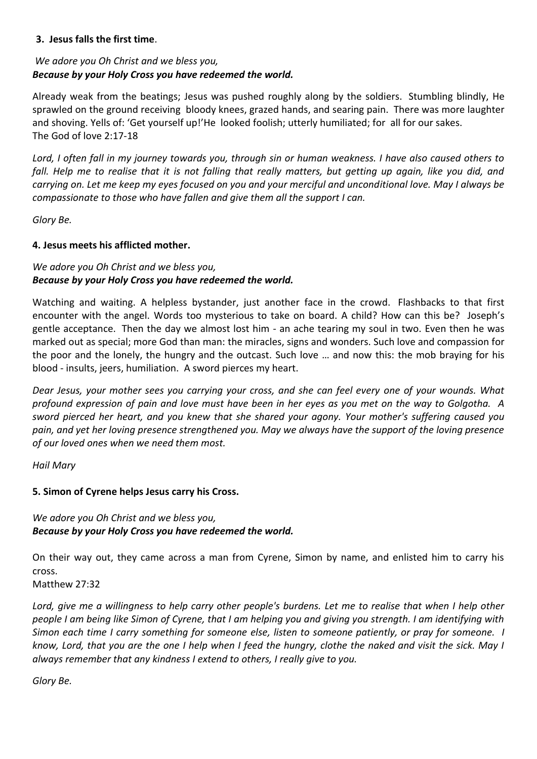#### **J3. Jesus falls the first time**.

# *We adore you Oh Christ and we bless you, Because by your Holy Cross you have redeemed the world.*

Already weak from the beatings; Jesus was pushed roughly along by the soldiers. Stumbling blindly, He sprawled on the ground receiving bloody knees, grazed hands, and searing pain. There was more laughter and shoving. Yells of: 'Get yourself up!'He looked foolish; utterly humiliated; for all for our sakes. The God of love 2:17-18

*Lord, I often fall in my journey towards you, through sin or human weakness. I have also caused others to fall. Help me to realise that it is not falling that really matters, but getting up again, like you did, and carrying on. Let me keep my eyes focused on you and your merciful and unconditional love. May I always be compassionate to those who have fallen and give them all the support I can.* 

*Glory Be.*

#### **4. Jesus meets his afflicted mother.**

# *We adore you Oh Christ and we bless you, Because by your Holy Cross you have redeemed the world.*

Watching and waiting. A helpless bystander, just another face in the crowd. Flashbacks to that first encounter with the angel. Words too mysterious to take on board. A child? How can this be? Joseph's gentle acceptance. Then the day we almost lost him - an ache tearing my soul in two. Even then he was marked out as special; more God than man: the miracles, signs and wonders. Such love and compassion for the poor and the lonely, the hungry and the outcast. Such love … and now this: the mob braying for his blood - insults, jeers, humiliation. A sword pierces my heart.

*Dear Jesus, your mother sees you carrying your cross, and she can feel every one of your wounds. What profound expression of pain and love must have been in her eyes as you met on the way to Golgotha. A sword pierced her heart, and you knew that she shared your agony. Your mother's suffering caused you pain, and yet her loving presence strengthened you. May we always have the support of the loving presence of our loved ones when we need them most.*

*Hail Mary*

## **5. Simon of Cyrene helps Jesus carry his Cross.**

## *We adore you Oh Christ and we bless you, Because by your Holy Cross you have redeemed the world.*

On their way out, they came across a man from Cyrene, Simon by name, and enlisted him to carry his cross.

Matthew 27:32

*Lord, give me a willingness to help carry other people's burdens. Let me to realise that when I help other people I am being like Simon of Cyrene, that I am helping you and giving you strength. I am identifying with Simon each time I carry something for someone else, listen to someone patiently, or pray for someone. I know, Lord, that you are the one I help when I feed the hungry, clothe the naked and visit the sick. May I always remember that any kindness I extend to others, I really give to you.*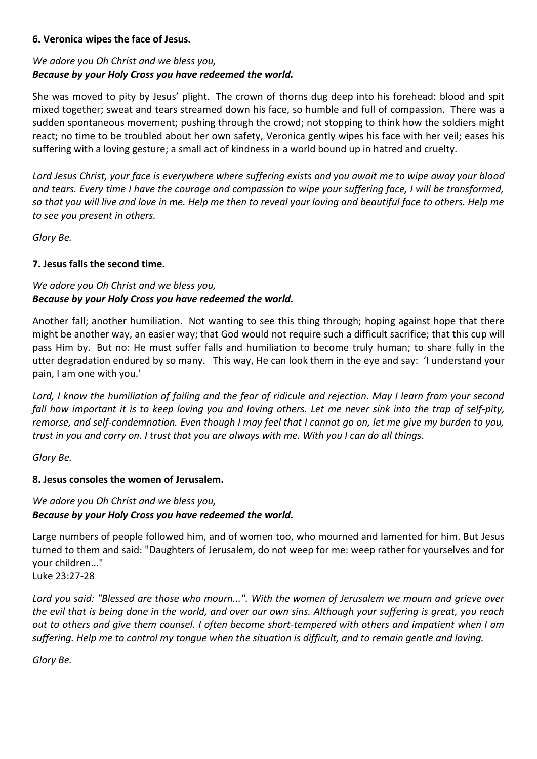#### **6. Veronica wipes the face of Jesus.**

# *We adore you Oh Christ and we bless you, Because by your Holy Cross you have redeemed the world.*

She was moved to pity by Jesus' plight. The crown of thorns dug deep into his forehead: blood and spit mixed together; sweat and tears streamed down his face, so humble and full of compassion. There was a sudden spontaneous movement; pushing through the crowd; not stopping to think how the soldiers might react; no time to be troubled about her own safety, Veronica gently wipes his face with her veil; eases his suffering with a loving gesture; a small act of kindness in a world bound up in hatred and cruelty.

*Lord Jesus Christ, your face is everywhere where suffering exists and you await me to wipe away your blood and tears. Every time I have the courage and compassion to wipe your suffering face, I will be transformed, so that you will live and love in me. Help me then to reveal your loving and beautiful face to others. Help me to see you present in others.*

*Glory Be.*

## **7. Jesus falls the second time.**

# *We adore you Oh Christ and we bless you, Because by your Holy Cross you have redeemed the world.*

Another fall; another humiliation. Not wanting to see this thing through; hoping against hope that there might be another way, an easier way; that God would not require such a difficult sacrifice; that this cup will pass Him by. But no: He must suffer falls and humiliation to become truly human; to share fully in the utter degradation endured by so many. This way, He can look them in the eye and say: 'I understand your pain, I am one with you.'

*Lord, I know the humiliation of failing and the fear of ridicule and rejection. May I learn from your second fall how important it is to keep loving you and loving others. Let me never sink into the trap of self-pity, remorse, and self-condemnation. Even though I may feel that I cannot go on, let me give my burden to you, trust in you and carry on. I trust that you are always with me. With you I can do all things.*

*Glory Be.*

## **8. Jesus consoles the women of Jerusalem.**

# *We adore you Oh Christ and we bless you, Because by your Holy Cross you have redeemed the world.*

Large numbers of people followed him, and of women too, who mourned and lamented for him. But Jesus turned to them and said: "Daughters of Jerusalem, do not weep for me: weep rather for yourselves and for your children..."

Luke 23:27-28

*Lord you said: "Blessed are those who mourn...". With the women of Jerusalem we mourn and grieve over the evil that is being done in the world, and over our own sins. Although your suffering is great, you reach out to others and give them counsel. I often become short-tempered with others and impatient when I am suffering. Help me to control my tongue when the situation is difficult, and to remain gentle and loving.*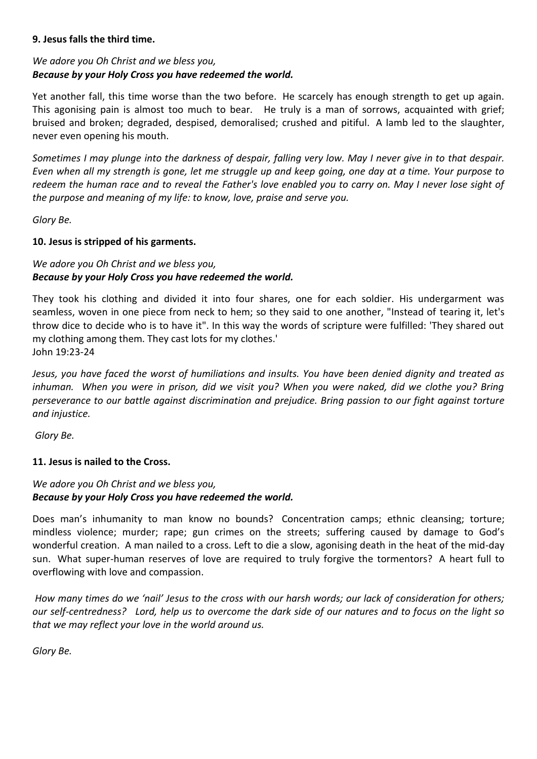#### **9. Jesus falls the third time.**

# *We adore you Oh Christ and we bless you, Because by your Holy Cross you have redeemed the world.*

Yet another fall, this time worse than the two before. He scarcely has enough strength to get up again. This agonising pain is almost too much to bear. He truly is a man of sorrows, acquainted with grief; bruised and broken; degraded, despised, demoralised; crushed and pitiful. A lamb led to the slaughter, never even opening his mouth.

*Sometimes I may plunge into the darkness of despair, falling very low. May I never give in to that despair. Even when all my strength is gone, let me struggle up and keep going, one day at a time. Your purpose to redeem the human race and to reveal the Father's love enabled you to carry on. May I never lose sight of the purpose and meaning of my life: to know, love, praise and serve you.* 

*Glory Be.*

## **10. Jesus is stripped of his garments.**

# *We adore you Oh Christ and we bless you, Because by your Holy Cross you have redeemed the world.*

They took his clothing and divided it into four shares, one for each soldier. His undergarment was seamless, woven in one piece from neck to hem; so they said to one another, "Instead of tearing it, let's throw dice to decide who is to have it". In this way the words of scripture were fulfilled: 'They shared out my clothing among them. They cast lots for my clothes.' John 19:23-24

*Jesus, you have faced the worst of humiliations and insults. You have been denied dignity and treated as*  inhuman. When you were in prison, did we visit you? When you were naked, did we clothe you? Bring *perseverance to our battle against discrimination and prejudice. Bring passion to our fight against torture and injustice.* 

*Glory Be.*

## **11. Jesus is nailed to the Cross.**

# *We adore you Oh Christ and we bless you, Because by your Holy Cross you have redeemed the world.*

Does man's inhumanity to man know no bounds? Concentration camps; ethnic cleansing; torture; mindless violence; murder; rape; gun crimes on the streets; suffering caused by damage to God's wonderful creation. A man nailed to a cross. Left to die a slow, agonising death in the heat of the mid-day sun. What super-human reserves of love are required to truly forgive the tormentors? A heart full to overflowing with love and compassion.

*How many times do we 'nail' Jesus to the cross with our harsh words; our lack of consideration for others; our self-centredness? Lord, help us to overcome the dark side of our natures and to focus on the light so that we may reflect your love in the world around us.*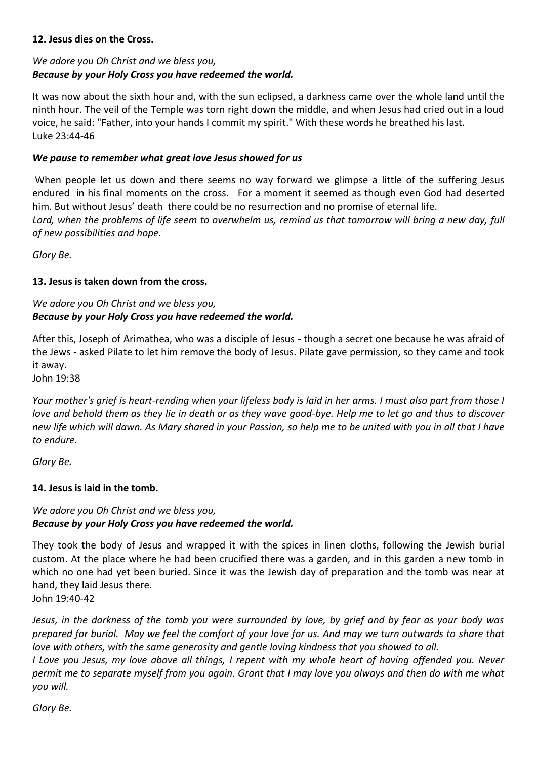#### **12. Jesus dies on the Cross.**

# *We adore you Oh Christ and we bless you, Because by your Holy Cross you have redeemed the world.*

It was now about the sixth hour and, with the sun eclipsed, a darkness came over the whole land until the ninth hour. The veil of the Temple was torn right down the middle, and when Jesus had cried out in a loud voice, he said: "Father, into your hands I commit my spirit." With these words he breathed his last. Luke 23:44-46

#### *We pause to remember what great love Jesus showed for us*

When people let us down and there seems no way forward we glimpse a little of the suffering Jesus endured in his final moments on the cross. For a moment it seemed as though even God had deserted him. But without Jesus' death there could be no resurrection and no promise of eternal life. *Lord, when the problems of life seem to overwhelm us, remind us that tomorrow will bring a new day, full of new possibilities and hope.*

*Glory Be.*

#### **13. Jesus is taken down from the cross.**

# *We adore you Oh Christ and we bless you, Because by your Holy Cross you have redeemed the world.*

After this, Joseph of Arimathea, who was a disciple of Jesus - though a secret one because he was afraid of the Jews - asked Pilate to let him remove the body of Jesus. Pilate gave permission, so they came and took it away.

John 19:38

*Your mother's grief is heart-rending when your lifeless body is laid in her arms. I must also part from those I love and behold them as they lie in death or as they wave good-bye. Help me to let go and thus to discover new life which will dawn. As Mary shared in your Passion, so help me to be united with you in all that I have to endure.* 

*Glory Be.*

## **14. Jesus is laid in the tomb.**

# *We adore you Oh Christ and we bless you, Because by your Holy Cross you have redeemed the world.*

They took the body of Jesus and wrapped it with the spices in linen cloths, following the Jewish burial custom. At the place where he had been crucified there was a garden, and in this garden a new tomb in which no one had yet been buried. Since it was the Jewish day of preparation and the tomb was near at hand, they laid Jesus there.

John 19:40-42

*Jesus, in the darkness of the tomb you were surrounded by love, by grief and by fear as your body was prepared for burial. May we feel the comfort of your love for us. And may we turn outwards to share that love with others, with the same generosity and gentle loving kindness that you showed to all.* 

*I Love you Jesus, my love above all things, I repent with my whole heart of having offended you. Never permit me to separate myself from you again. Grant that I may love you always and then do with me what you will.*